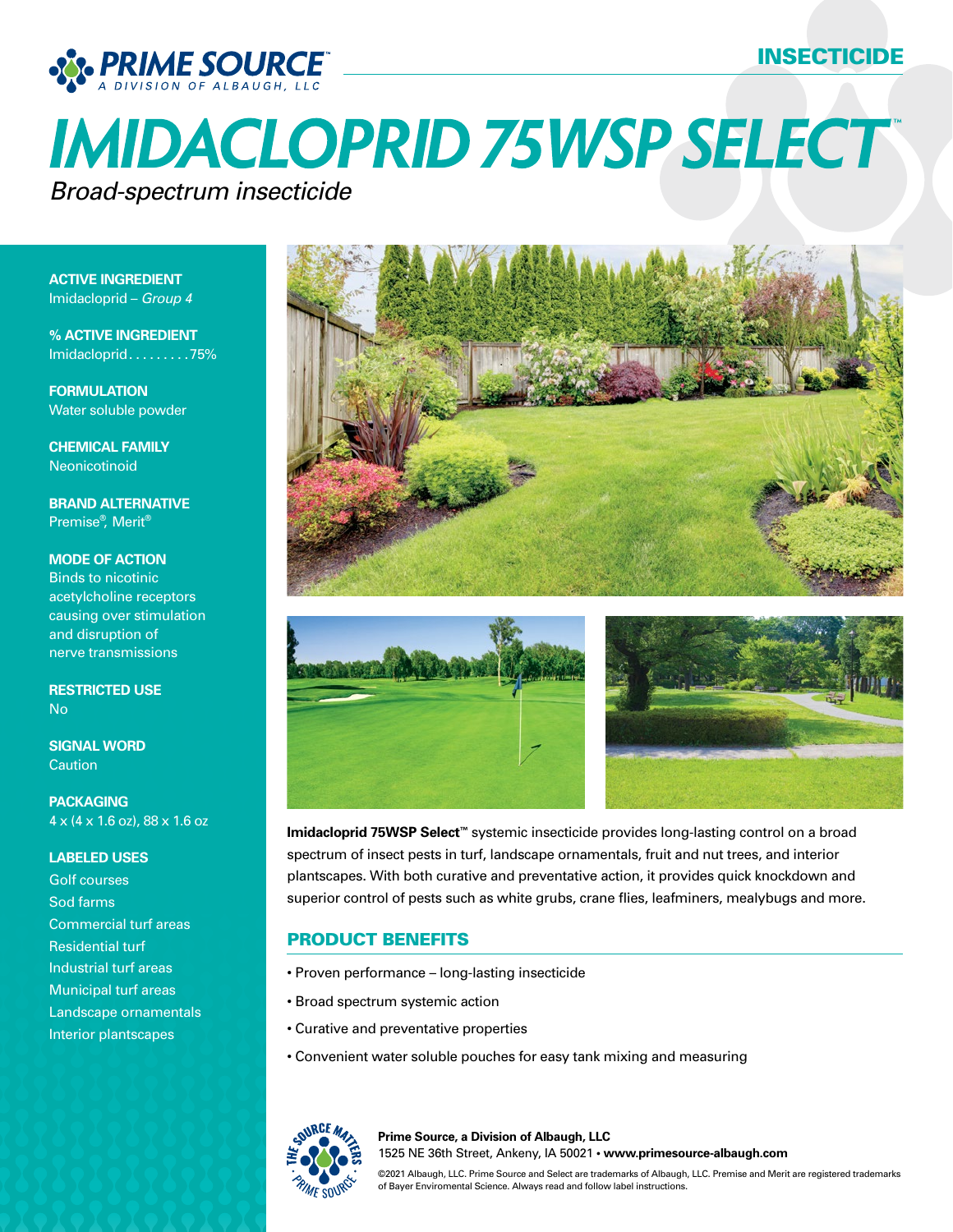## INSECTICIDE



# **IMIDACLOPRID 75WSP SELECT** *Broad-spectrum insecticide*

**ACTIVE INGREDIENT** Imidacloprid – *Group 4*

**% ACTIVE INGREDIENT** Imidacloprid . . . . . . . . . 75%

**FORMULATION** Water soluble powder

**CHEMICAL FAMILY** Neonicotinoid

**BRAND ALTERNATIVE** Premise®, Merit®

**MODE OF ACTION** Binds to nicotinic acetylcholine receptors causing over stimulation and disruption of nerve transmissions

**RESTRICTED USE** No

**SIGNAL WORD Caution** 

**PACKAGING** 4 x (4 x 1.6 oz), 88 x 1.6 oz

#### **LABELED USES**

Golf courses Sod farms Commercial turf areas Residential turf Industrial turf areas Municipal turf areas Landscape ornamentals Interior plantscapes







**Imidacloprid 75WSP Select™** systemic insecticide provides long-lasting control on a broad spectrum of insect pests in turf, landscape ornamentals, fruit and nut trees, and interior plantscapes. With both curative and preventative action, it provides quick knockdown and superior control of pests such as white grubs, crane flies, leafminers, mealybugs and more.

#### PRODUCT BENEFITS

- Proven performance long-lasting insecticide
- Broad spectrum systemic action
- Curative and preventative properties
- Convenient water soluble pouches for easy tank mixing and measuring



**Prime Source, a Division of Albaugh, LLC** 1525 NE 36th Street, Ankeny, IA 50021 **• www.primesource-albaugh.com**